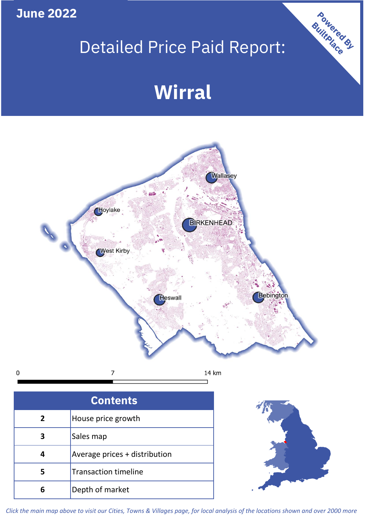**June 2022**

## Detailed Price Paid Report:

# **Wirral**



| <b>Contents</b> |                               |  |  |  |
|-----------------|-------------------------------|--|--|--|
| $\mathbf{2}$    | House price growth            |  |  |  |
| 3               | Sales map                     |  |  |  |
|                 | Average prices + distribution |  |  |  |
|                 | <b>Transaction timeline</b>   |  |  |  |
|                 | Depth of market               |  |  |  |



Powered By

*Click the main map above to visit our Cities, Towns & Villages page, for local analysis of the locations shown and over 2000 more*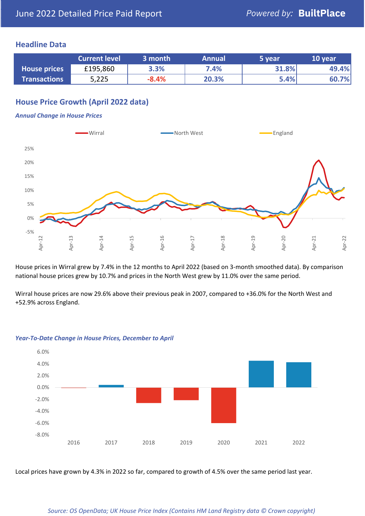## **Headline Data**

|                     | <b>Current level</b> | 3 month | <b>Annual</b> | 5 year | 10 year |
|---------------------|----------------------|---------|---------------|--------|---------|
| <b>House prices</b> | £195,860             | 3.3%    | 7.4%          | 31.8%  | 49.4%   |
| <b>Transactions</b> | 5,225                | $-8.4%$ | 20.3%         | 5.4%   | 60.7%   |

## **House Price Growth (April 2022 data)**

#### *Annual Change in House Prices*



House prices in Wirral grew by 7.4% in the 12 months to April 2022 (based on 3-month smoothed data). By comparison national house prices grew by 10.7% and prices in the North West grew by 11.0% over the same period.

Wirral house prices are now 29.6% above their previous peak in 2007, compared to +36.0% for the North West and +52.9% across England.



#### *Year-To-Date Change in House Prices, December to April*

Local prices have grown by 4.3% in 2022 so far, compared to growth of 4.5% over the same period last year.

#### *Source: OS OpenData; UK House Price Index (Contains HM Land Registry data © Crown copyright)*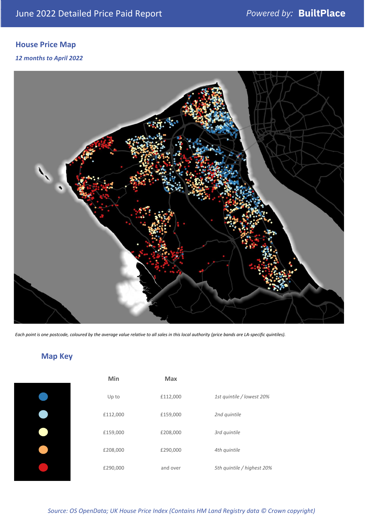## **House Price Map**

### *12 months to April 2022*



*Each point is one postcode, coloured by the average value relative to all sales in this local authority (price bands are LA-specific quintiles).*

## **Map Key**

| Min      | <b>Max</b> |                            |
|----------|------------|----------------------------|
| Up to    | £112,000   | 1st quintile / lowest 20%  |
| £112,000 | £159,000   | 2nd quintile               |
| £159,000 | £208,000   | 3rd quintile               |
| £208,000 | £290,000   | 4th quintile               |
| £290,000 | and over   | 5th quintile / highest 20% |

## *Source: OS OpenData; UK House Price Index (Contains HM Land Registry data © Crown copyright)*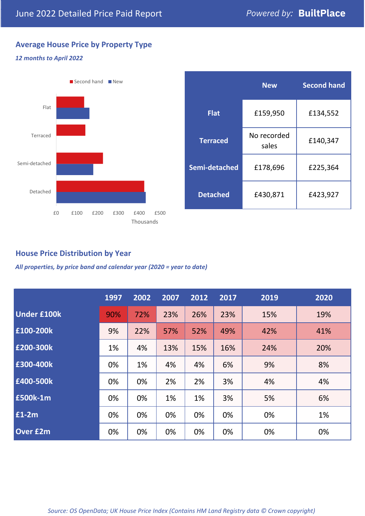## **Average House Price by Property Type**

### *12 months to April 2022*



|                 | <b>New</b>           | <b>Second hand</b> |  |
|-----------------|----------------------|--------------------|--|
| <b>Flat</b>     | £159,950             | £134,552           |  |
| <b>Terraced</b> | No recorded<br>sales | £140,347           |  |
| Semi-detached   | £178,696             | £225,364           |  |
| <b>Detached</b> | £430,871             | £423,927           |  |

## **House Price Distribution by Year**

*All properties, by price band and calendar year (2020 = year to date)*

|                    | 1997 | 2002 | 2007 | 2012 | 2017 | 2019 | 2020 |
|--------------------|------|------|------|------|------|------|------|
| <b>Under £100k</b> | 90%  | 72%  | 23%  | 26%  | 23%  | 15%  | 19%  |
| £100-200k          | 9%   | 22%  | 57%  | 52%  | 49%  | 42%  | 41%  |
| E200-300k          | 1%   | 4%   | 13%  | 15%  | 16%  | 24%  | 20%  |
| £300-400k          | 0%   | 1%   | 4%   | 4%   | 6%   | 9%   | 8%   |
| £400-500k          | 0%   | 0%   | 2%   | 2%   | 3%   | 4%   | 4%   |
| <b>£500k-1m</b>    | 0%   | 0%   | 1%   | 1%   | 3%   | 5%   | 6%   |
| £1-2m              | 0%   | 0%   | 0%   | 0%   | 0%   | 0%   | 1%   |
| <b>Over £2m</b>    | 0%   | 0%   | 0%   | 0%   | 0%   | 0%   | 0%   |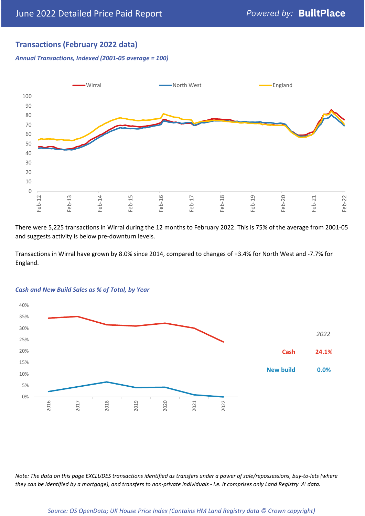## **Transactions (February 2022 data)**

*Annual Transactions, Indexed (2001-05 average = 100)*



There were 5,225 transactions in Wirral during the 12 months to February 2022. This is 75% of the average from 2001-05 and suggests activity is below pre-downturn levels.

Transactions in Wirral have grown by 8.0% since 2014, compared to changes of +3.4% for North West and -7.7% for England.



#### *Cash and New Build Sales as % of Total, by Year*

*Note: The data on this page EXCLUDES transactions identified as transfers under a power of sale/repossessions, buy-to-lets (where they can be identified by a mortgage), and transfers to non-private individuals - i.e. it comprises only Land Registry 'A' data.*